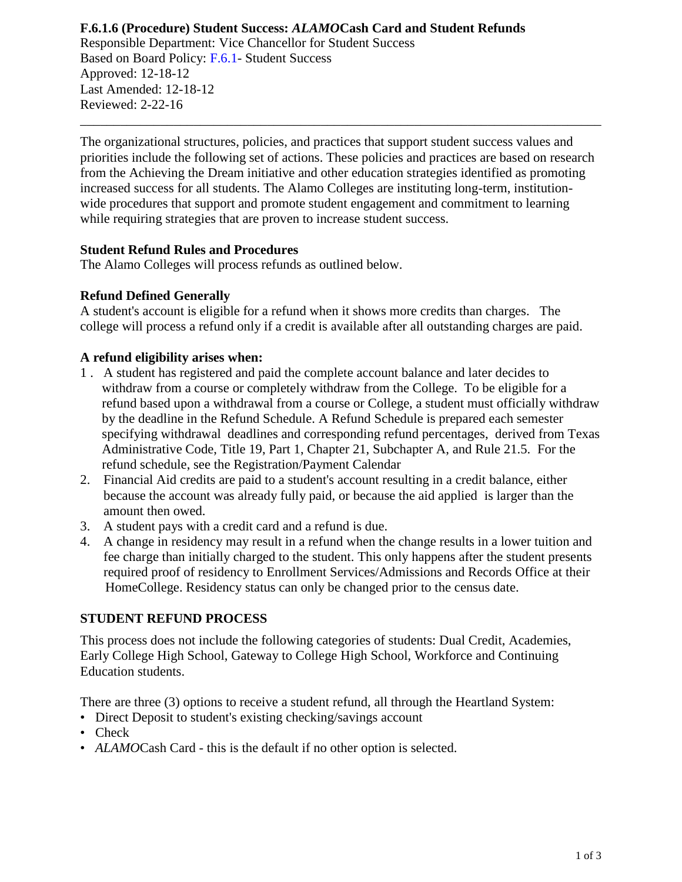### **F.6.1.6 (Procedure) Student Success:** *ALAMO***Cash Card and Student Refunds** Responsible Department: Vice Chancellor for Student Success Based on Board Policy: [F.6.1-](https://www.alamo.edu/siteassets/district/about-us/leadership/board-of-trustees/policies-pdfs/section-f/f.6.1-policy.pdf) Student Success Approved: 12-18-12 Last Amended: 12-18-12 Reviewed: 2-22-16

The organizational structures, policies, and practices that support student success values and priorities include the following set of actions. These policies and practices are based on research from the Achieving the Dream initiative and other education strategies identified as promoting increased success for all students. The Alamo Colleges are instituting long-term, institutionwide procedures that support and promote student engagement and commitment to learning while requiring strategies that are proven to increase student success.

\_\_\_\_\_\_\_\_\_\_\_\_\_\_\_\_\_\_\_\_\_\_\_\_\_\_\_\_\_\_\_\_\_\_\_\_\_\_\_\_\_\_\_\_\_\_\_\_\_\_\_\_\_\_\_\_\_\_\_\_\_\_\_\_\_\_\_\_\_\_\_\_\_\_\_\_\_\_

### **Student Refund Rules and Procedures**

The Alamo Colleges will process refunds as outlined below.

#### **Refund Defined Generally**

A student's account is eligible for a refund when it shows more credits than charges. The college will process a refund only if a credit is available after all outstanding charges are paid.

#### **A refund eligibility arises when:**

- 1 . A student has registered and paid the complete account balance and later decides to withdraw from a course or completely withdraw from the College. To be eligible for a refund based upon a withdrawal from a course or College, a student must officially withdraw by the deadline in the Refund Schedule. A Refund Schedule is prepared each semester specifying withdrawal deadlines and corresponding refund percentages, derived from Texas Administrative Code, Title 19, Part 1, Chapter 21, Subchapter A, and Rule 21.5. For the refund schedule, see the Registration/Payment Calendar
- 2. Financial Aid credits are paid to a student's account resulting in a credit balance, either because the account was already fully paid, or because the aid applied is larger than the amount then owed.
- 3. A student pays with a credit card and a refund is due.
- 4. A change in residency may result in a refund when the change results in a lower tuition and fee charge than initially charged to the student. This only happens after the student presents required proof of residency to Enrollment Services/Admissions and Records Office at their HomeCollege. Residency status can only be changed prior to the census date.

#### **STUDENT REFUND PROCESS**

This process does not include the following categories of students: Dual Credit, Academies, Early College High School, Gateway to College High School, Workforce and Continuing Education students.

There are three (3) options to receive a student refund, all through the Heartland System:

- Direct Deposit to student's existing checking/savings account
- Check
- *ALAMOCash Card* this is the default if no other option is selected.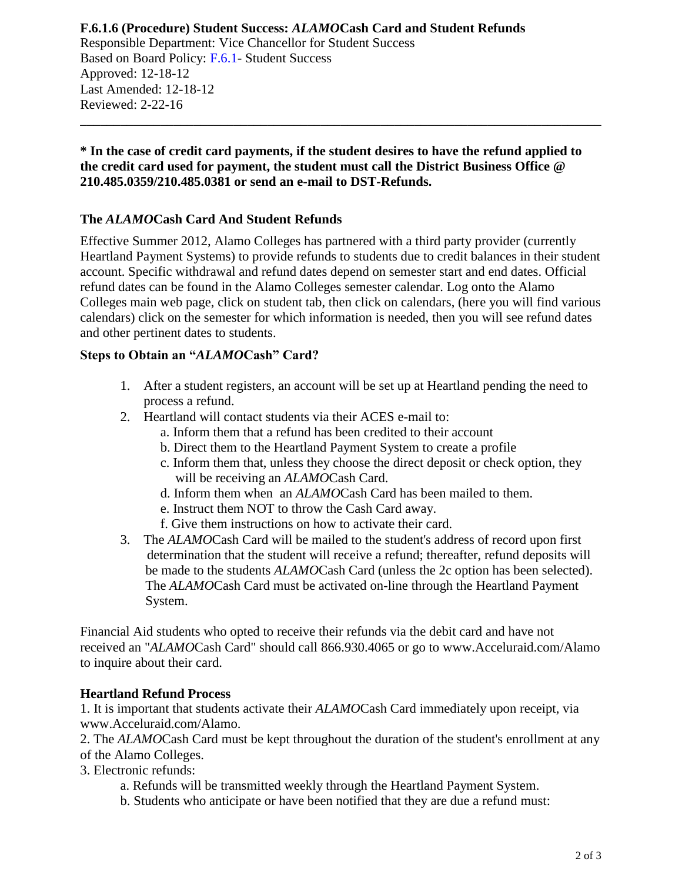## **F.6.1.6 (Procedure) Student Success:** *ALAMO***Cash Card and Student Refunds** Responsible Department: Vice Chancellor for Student Success Based on Board Policy: [F.6.1-](https://www.alamo.edu/siteassets/district/about-us/leadership/board-of-trustees/policies-pdfs/section-f/f.6.1-policy.pdf) Student Success Approved: 12-18-12 Last Amended: 12-18-12 Reviewed: 2-22-16

### **\* In the case of credit card payments, if the student desires to have the refund applied to the credit card used for payment, the student must call the District Business Office @ 210.485.0359/210.485.0381 or send an e-mail to DST-Refunds.**

\_\_\_\_\_\_\_\_\_\_\_\_\_\_\_\_\_\_\_\_\_\_\_\_\_\_\_\_\_\_\_\_\_\_\_\_\_\_\_\_\_\_\_\_\_\_\_\_\_\_\_\_\_\_\_\_\_\_\_\_\_\_\_\_\_\_\_\_\_\_\_\_\_\_\_\_\_\_

# **The** *ALAMO***Cash Card And Student Refunds**

Effective Summer 2012, Alamo Colleges has partnered with a third party provider (currently Heartland Payment Systems) to provide refunds to students due to credit balances in their student account. Specific withdrawal and refund dates depend on semester start and end dates. Official refund dates can be found in the Alamo Colleges semester calendar. Log onto the Alamo Colleges main web page, click on student tab, then click on calendars, (here you will find various calendars) click on the semester for which information is needed, then you will see refund dates and other pertinent dates to students.

## **Steps to Obtain an "***ALAMO***Cash" Card?**

- 1. After a student registers, an account will be set up at Heartland pending the need to process a refund.
- 2. Heartland will contact students via their ACES e-mail to:
	- a. Inform them that a refund has been credited to their account
	- b. Direct them to the Heartland Payment System to create a profile
	- c. Inform them that, unless they choose the direct deposit or check option, they will be receiving an *ALAMO*Cash Card.
	- d. Inform them when an *ALAMO*Cash Card has been mailed to them.
	- e. Instruct them NOT to throw the Cash Card away.
	- f. Give them instructions on how to activate their card.
- 3. The *ALAMO*Cash Card will be mailed to the student's address of record upon first determination that the student will receive a refund; thereafter, refund deposits will be made to the students *ALAMO*Cash Card (unless the 2c option has been selected). The *ALAMO*Cash Card must be activated on-line through the Heartland Payment System.

Financial Aid students who opted to receive their refunds via the debit card and have not received an "*ALAMO*Cash Card" should call 866.930.4065 or go to www.Acceluraid.com/Alamo to inquire about their card.

## **Heartland Refund Process**

1. It is important that students activate their *ALAMO*Cash Card immediately upon receipt, via www.Acceluraid.com/Alamo.

2. The *ALAMO*Cash Card must be kept throughout the duration of the student's enrollment at any of the Alamo Colleges.

3. Electronic refunds:

- a. Refunds will be transmitted weekly through the Heartland Payment System.
- b. Students who anticipate or have been notified that they are due a refund must: